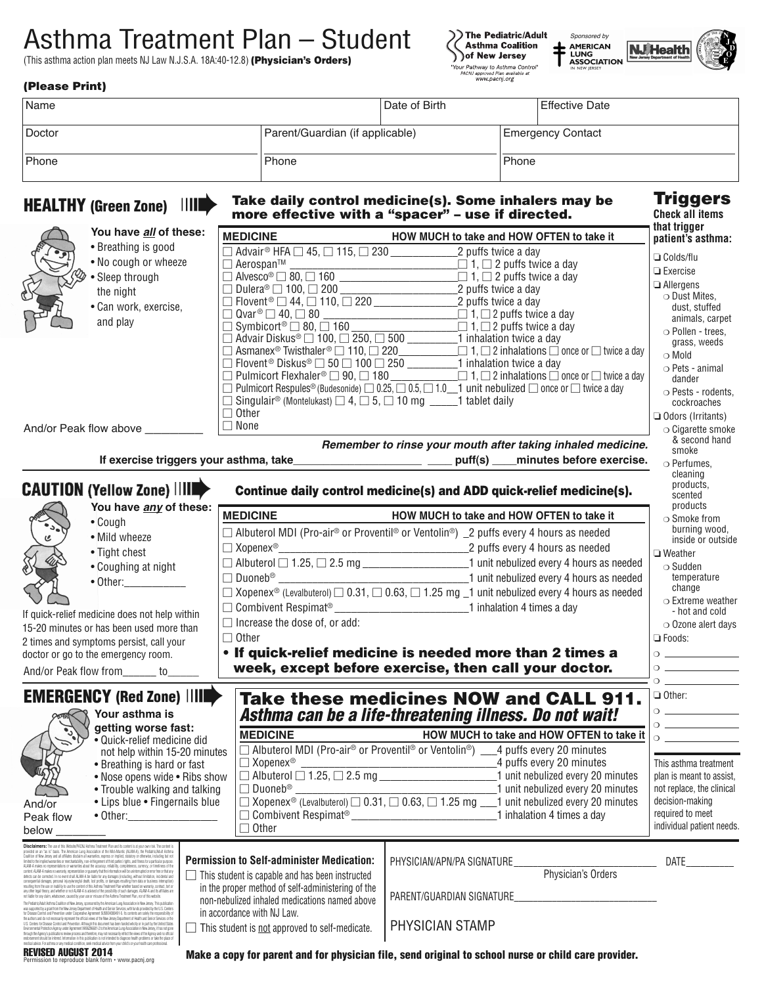# Asthma Treatment Plan – Student

(This asthma action plan meets NJ Law N.J.S.A. 18A:40-12.8) **(Physician's Orders)**





**Triggers Check all items**

### **(Please Print)**

| Name   |                                 | Date of Birth |       | Effective Date           |
|--------|---------------------------------|---------------|-------|--------------------------|
| Doctor | Parent/Guardian (if applicable) |               |       | <b>Emergency Contact</b> |
| Phone  | Phone                           |               | Phone |                          |

### **HEALTHY** (Green Zone)  $\begin{array}{r} \n\text{III} \rightarrow \text{Take daily control medicine(s). Some inhalers may be more effective with a "spacer" – use if directed.}\n\end{array}$ **more effective with a "spacer" – use if directed.**

|                                                                                                                                                                                                                                                                                                                                                                        | You have all of these:                                                                                                                                                                                                                                                                                                                                                                                |  |                                                                                                                                                                                                                            |                            |                                                                                                                                     | that trigger                       |
|------------------------------------------------------------------------------------------------------------------------------------------------------------------------------------------------------------------------------------------------------------------------------------------------------------------------------------------------------------------------|-------------------------------------------------------------------------------------------------------------------------------------------------------------------------------------------------------------------------------------------------------------------------------------------------------------------------------------------------------------------------------------------------------|--|----------------------------------------------------------------------------------------------------------------------------------------------------------------------------------------------------------------------------|----------------------------|-------------------------------------------------------------------------------------------------------------------------------------|------------------------------------|
|                                                                                                                                                                                                                                                                                                                                                                        | • Breathing is good                                                                                                                                                                                                                                                                                                                                                                                   |  | <b>MEDICINE</b><br>$\Box$ Advair <sup>®</sup> HFA $\Box$ 45, $\Box$ 115, $\Box$ 230 $\Box$ 2 puffs twice a day                                                                                                             |                            | HOW MUCH to take and HOW OFTEN to take it                                                                                           | patient's asthma:                  |
|                                                                                                                                                                                                                                                                                                                                                                        | • No cough or wheeze                                                                                                                                                                                                                                                                                                                                                                                  |  |                                                                                                                                                                                                                            |                            |                                                                                                                                     | $\Box$ Colds/flu                   |
|                                                                                                                                                                                                                                                                                                                                                                        | • Sleep through                                                                                                                                                                                                                                                                                                                                                                                       |  | $\Box$ Aerospan <sup>TM</sup><br>$\Box$ Alvesco <sup>®</sup> $\Box$ 80, $\Box$ 160<br>$\Box$ Dulera <sup>®</sup> $\Box$ 100, $\Box$ 200<br>$\Box$ 2 puffs twice a day<br>$\Box$ Dulera <sup>®</sup> $\Box$ 100, $\Box$ 200 |                            |                                                                                                                                     | $\Box$ Exercise                    |
|                                                                                                                                                                                                                                                                                                                                                                        | the night                                                                                                                                                                                                                                                                                                                                                                                             |  |                                                                                                                                                                                                                            |                            |                                                                                                                                     | $\Box$ Allergens                   |
|                                                                                                                                                                                                                                                                                                                                                                        | · Can work, exercise,                                                                                                                                                                                                                                                                                                                                                                                 |  |                                                                                                                                                                                                                            |                            |                                                                                                                                     | ○ Dust Mites,<br>dust, stuffed     |
|                                                                                                                                                                                                                                                                                                                                                                        | and play                                                                                                                                                                                                                                                                                                                                                                                              |  |                                                                                                                                                                                                                            |                            |                                                                                                                                     | animals, carpet                    |
|                                                                                                                                                                                                                                                                                                                                                                        |                                                                                                                                                                                                                                                                                                                                                                                                       |  |                                                                                                                                                                                                                            |                            |                                                                                                                                     | O Pollen - trees,                  |
|                                                                                                                                                                                                                                                                                                                                                                        |                                                                                                                                                                                                                                                                                                                                                                                                       |  | $\Box$ Advair Diskus® $\Box$ 100, $\Box$ 250, $\Box$ 500 $\underbrace{\phantom{\Box}}$ 1 inhalation twice a day                                                                                                            |                            |                                                                                                                                     | grass, weeds                       |
|                                                                                                                                                                                                                                                                                                                                                                        |                                                                                                                                                                                                                                                                                                                                                                                                       |  | $\Box$ Flovent <sup>®</sup> Diskus® $\Box$ 50 $\Box$ 100 $\Box$ 250 $\Box$ 1 inhalation twice a day                                                                                                                        |                            |                                                                                                                                     | $\circ$ Mold                       |
|                                                                                                                                                                                                                                                                                                                                                                        |                                                                                                                                                                                                                                                                                                                                                                                                       |  |                                                                                                                                                                                                                            |                            | $\Box$ Pulmicort Flexhaler® $\Box$ 90, $\Box$ 180 ________________________1, $\Box$ 2 inhalations $\Box$ once or $\Box$ twice a day | $\circ$ Pets - animal<br>dander    |
|                                                                                                                                                                                                                                                                                                                                                                        |                                                                                                                                                                                                                                                                                                                                                                                                       |  | Delmicort Respules <sup>®</sup> (Budesonide) $\Box$ 0.25, $\Box$ 0.5, $\Box$ 1.0 $\Box$ 1 unit nebulized $\Box$ once or $\Box$ twice a day                                                                                 |                            |                                                                                                                                     | ○ Pests - rodents,                 |
|                                                                                                                                                                                                                                                                                                                                                                        |                                                                                                                                                                                                                                                                                                                                                                                                       |  | □ Singulair <sup>®</sup> (Montelukast) $\Box$ 4, $\Box$ 5, $\Box$ 10 mg ______1 tablet daily                                                                                                                               |                            |                                                                                                                                     | cockroaches                        |
|                                                                                                                                                                                                                                                                                                                                                                        |                                                                                                                                                                                                                                                                                                                                                                                                       |  | $\Box$ Other                                                                                                                                                                                                               |                            |                                                                                                                                     | $\Box$ Odors (Irritants)           |
|                                                                                                                                                                                                                                                                                                                                                                        | And/or Peak flow above                                                                                                                                                                                                                                                                                                                                                                                |  | $\Box$ None                                                                                                                                                                                                                |                            |                                                                                                                                     | $\circ$ Cigarette smoke            |
|                                                                                                                                                                                                                                                                                                                                                                        |                                                                                                                                                                                                                                                                                                                                                                                                       |  |                                                                                                                                                                                                                            |                            | Remember to rinse your mouth after taking inhaled medicine.                                                                         | & second hand<br>smoke             |
|                                                                                                                                                                                                                                                                                                                                                                        |                                                                                                                                                                                                                                                                                                                                                                                                       |  | If exercise triggers your asthma, take________________________________ puff(s) ___                                                                                                                                         |                            | minutes before exercise.                                                                                                            | $\circ$ Perfumes,                  |
|                                                                                                                                                                                                                                                                                                                                                                        |                                                                                                                                                                                                                                                                                                                                                                                                       |  |                                                                                                                                                                                                                            |                            |                                                                                                                                     | cleaning                           |
|                                                                                                                                                                                                                                                                                                                                                                        | <b>CAUTION (Yellow Zone)       </b>                                                                                                                                                                                                                                                                                                                                                                   |  | Continue daily control medicine(s) and ADD quick-relief medicine(s).                                                                                                                                                       |                            |                                                                                                                                     | products,                          |
|                                                                                                                                                                                                                                                                                                                                                                        | You have any of these:                                                                                                                                                                                                                                                                                                                                                                                |  |                                                                                                                                                                                                                            |                            |                                                                                                                                     | scented<br>products                |
|                                                                                                                                                                                                                                                                                                                                                                        | • Cough                                                                                                                                                                                                                                                                                                                                                                                               |  | <b>MEDICINE</b>                                                                                                                                                                                                            |                            | HOW MUCH to take and HOW OFTEN to take it                                                                                           | $\circ$ Smoke from                 |
| $\mathfrak{C}$                                                                                                                                                                                                                                                                                                                                                         | • Mild wheeze                                                                                                                                                                                                                                                                                                                                                                                         |  | $\Box$ Albuterol MDI (Pro-air® or Proventil® or Ventolin®) _2 puffs every 4 hours as needed                                                                                                                                |                            |                                                                                                                                     | burning wood,                      |
|                                                                                                                                                                                                                                                                                                                                                                        |                                                                                                                                                                                                                                                                                                                                                                                                       |  |                                                                                                                                                                                                                            |                            |                                                                                                                                     | inside or outside                  |
|                                                                                                                                                                                                                                                                                                                                                                        | • Tight chest                                                                                                                                                                                                                                                                                                                                                                                         |  | $\Box$ Albuterol $\Box$ 1.25, $\Box$ 2.5 mg _____________________________1 unit nebulized every 4 hours as needed                                                                                                          |                            |                                                                                                                                     | $\Box$ Weather                     |
|                                                                                                                                                                                                                                                                                                                                                                        | • Coughing at night                                                                                                                                                                                                                                                                                                                                                                                   |  |                                                                                                                                                                                                                            |                            |                                                                                                                                     | $\circ$ Sudden<br>temperature      |
|                                                                                                                                                                                                                                                                                                                                                                        | $\bullet$ Other: $\_\_\_\_\_\_\_\_\_\_\_$                                                                                                                                                                                                                                                                                                                                                             |  | $\Box$ Xopenex <sup>®</sup> (Levalbuterol) $\Box$ 0.31, $\Box$ 0.63, $\Box$ 1.25 mg $\Box$ 1 unit nebulized every 4 hours as needed                                                                                        |                            |                                                                                                                                     | change                             |
|                                                                                                                                                                                                                                                                                                                                                                        |                                                                                                                                                                                                                                                                                                                                                                                                       |  |                                                                                                                                                                                                                            |                            |                                                                                                                                     | $\circ$ Extreme weather            |
|                                                                                                                                                                                                                                                                                                                                                                        | If quick-relief medicine does not help within                                                                                                                                                                                                                                                                                                                                                         |  | $\Box$ Increase the dose of, or add:                                                                                                                                                                                       |                            |                                                                                                                                     | - hot and cold                     |
|                                                                                                                                                                                                                                                                                                                                                                        | 15-20 minutes or has been used more than                                                                                                                                                                                                                                                                                                                                                              |  |                                                                                                                                                                                                                            |                            |                                                                                                                                     | $\circ$ Ozone alert days           |
|                                                                                                                                                                                                                                                                                                                                                                        | 2 times and symptoms persist, call your                                                                                                                                                                                                                                                                                                                                                               |  | $\Box$ Other                                                                                                                                                                                                               |                            |                                                                                                                                     | $\Box$ Foods:                      |
|                                                                                                                                                                                                                                                                                                                                                                        | doctor or go to the emergency room.                                                                                                                                                                                                                                                                                                                                                                   |  | . If quick-relief medicine is needed more than 2 times a                                                                                                                                                                   |                            |                                                                                                                                     |                                    |
|                                                                                                                                                                                                                                                                                                                                                                        | And/or Peak flow from______ to___                                                                                                                                                                                                                                                                                                                                                                     |  | week, except before exercise, then call your doctor.                                                                                                                                                                       |                            |                                                                                                                                     |                                    |
|                                                                                                                                                                                                                                                                                                                                                                        |                                                                                                                                                                                                                                                                                                                                                                                                       |  |                                                                                                                                                                                                                            |                            |                                                                                                                                     |                                    |
|                                                                                                                                                                                                                                                                                                                                                                        | <b>EMERGENCY (Red Zone) IIII</b>                                                                                                                                                                                                                                                                                                                                                                      |  |                                                                                                                                                                                                                            |                            | Take these medicines NOW and CALL 911.                                                                                              | $\Box$ Other:                      |
|                                                                                                                                                                                                                                                                                                                                                                        | Your asthma is                                                                                                                                                                                                                                                                                                                                                                                        |  | Asthma can be a life-threatening illness. Do not wait!                                                                                                                                                                     |                            |                                                                                                                                     |                                    |
|                                                                                                                                                                                                                                                                                                                                                                        | getting worse fast:                                                                                                                                                                                                                                                                                                                                                                                   |  | <b>MEDICINE</b>                                                                                                                                                                                                            |                            | HOW MUCH to take and HOW OFTEN to take it                                                                                           | $\sim$ $\sim$ $\sim$ $\sim$ $\sim$ |
|                                                                                                                                                                                                                                                                                                                                                                        | · Quick-relief medicine did                                                                                                                                                                                                                                                                                                                                                                           |  | □ Albuterol MDI (Pro-air® or Proventil® or Ventolin®) ___4 puffs every 20 minutes                                                                                                                                          |                            |                                                                                                                                     |                                    |
|                                                                                                                                                                                                                                                                                                                                                                        | not help within 15-20 minutes<br>• Breathing is hard or fast                                                                                                                                                                                                                                                                                                                                          |  | $\Box$ Xopenex®                                                                                                                                                                                                            |                            | 4 puffs every 20 minutes                                                                                                            | This asthma treatment              |
|                                                                                                                                                                                                                                                                                                                                                                        | • Nose opens wide • Ribs show                                                                                                                                                                                                                                                                                                                                                                         |  |                                                                                                                                                                                                                            |                            |                                                                                                                                     | plan is meant to assist,           |
|                                                                                                                                                                                                                                                                                                                                                                        | • Trouble walking and talking                                                                                                                                                                                                                                                                                                                                                                         |  | $\Box$ Duoneb <sup>®</sup>                                                                                                                                                                                                 |                            | 1 unit nebulized every 20 minutes                                                                                                   | not replace, the clinical          |
| And/or                                                                                                                                                                                                                                                                                                                                                                 | • Lips blue • Fingernails blue                                                                                                                                                                                                                                                                                                                                                                        |  | $\Box$ Xopenex <sup>®</sup> (Levalbuterol) $\Box$ 0.31, $\Box$ 0.63, $\Box$ 1.25 mg $\Box$ 1 unit nebulized every 20 minutes                                                                                               |                            |                                                                                                                                     | decision-making                    |
| Peak flow                                                                                                                                                                                                                                                                                                                                                              | $\bullet$ Other: $\qquad \qquad \qquad$                                                                                                                                                                                                                                                                                                                                                               |  |                                                                                                                                                                                                                            |                            | 1 inhalation 4 times a day                                                                                                          | required to meet                   |
| below.                                                                                                                                                                                                                                                                                                                                                                 |                                                                                                                                                                                                                                                                                                                                                                                                       |  | $\Box$ Other                                                                                                                                                                                                               |                            |                                                                                                                                     | individual patient needs.          |
|                                                                                                                                                                                                                                                                                                                                                                        | <b>Disclaimers:</b> The use of this Website/PACINJ Asthma Treatment Plan and its content is at your own risk. The content is<br>provided on an "as is" basis. The American Lung Association of the Mid-Atlantic (ALAM-A), the Pediatric/Adult Asthma                                                                                                                                                  |  |                                                                                                                                                                                                                            |                            |                                                                                                                                     |                                    |
|                                                                                                                                                                                                                                                                                                                                                                        | Coalition of New Jersey and all affiliates disclaim all warranties, express or implied, statutory or otherwise, including but not<br>limited to the implied warranties or merchantability, non-infringement of third parties' rights, and filmess for a particular purpose                                                                                                                            |  | <b>Permission to Self-administer Medication:</b>                                                                                                                                                                           | PHYSICIAN/APN/PA SIGNATURE |                                                                                                                                     | DATE                               |
|                                                                                                                                                                                                                                                                                                                                                                        | ALAM-A makes no representations or warranties about the accuracy, reliability, completeness, currency, or timeliness of the<br>content. ALAM-A makes no warranty, representation or guaranty that the information will be uninferrupted or error free or that any<br>defects can be corrected. In no event shall ALAM-A be liable for any damages (including, wi                                      |  | This student is capable and has been instructed                                                                                                                                                                            |                            | Physician's Orders                                                                                                                  |                                    |
|                                                                                                                                                                                                                                                                                                                                                                        | consequential damages, personal injury/wrongful death, lost profits, or damages resulting from data or business interruption<br>resulting from the use or inability to use the content of this Asthma Treatment Plan whether based on warranty, contract, tort or<br>any other legal theory, and whether or not ALAM-A is advised of the occsibility of such damages. ALAM-A and its affiliates are   |  | in the proper method of self-administering of the                                                                                                                                                                          |                            |                                                                                                                                     |                                    |
| not liable for any claim, whatsoever, caused by your use or misuse of the Asthma Treatment Plan, nor of this websit<br>The Pediatric/Adult Asthma Coalition of New Jersey, sponsored by the American Lung Association in New Jersey. This publication                                                                                                                  |                                                                                                                                                                                                                                                                                                                                                                                                       |  | non-nebulized inhaled medications named above                                                                                                                                                                              | PARENT/GUARDIAN SIGNATURE  |                                                                                                                                     |                                    |
| was supported by a grant from the New Jersey Department of Health and Senior Services, with funds provided by the U.S. Centers<br>for Disease Control and Prevention under Cooperative Agreement 5U59EH000491-5. Its contents are<br>the authors and do not necessarily represent the official views of the New Jersey Department of Health and Senior Services or the |                                                                                                                                                                                                                                                                                                                                                                                                       |  | in accordance with NJ Law.                                                                                                                                                                                                 |                            |                                                                                                                                     |                                    |
|                                                                                                                                                                                                                                                                                                                                                                        | U.S. Certers for Disease Control and Prevention. Although this document has been funded wholly or in part by the United States<br>Environmental Protection Agency under Agreement XA96296601-2 to the American Lung Association in New Jersey, it has not gone<br>through the Agency's publications review process and therefore, may not necessarily reflect the views of the Agency and no official |  | $\Box$ This student is not approved to self-medicate.                                                                                                                                                                      | PHYSICIAN STAMP            |                                                                                                                                     |                                    |
|                                                                                                                                                                                                                                                                                                                                                                        | endorsement should be inferred. Information in this publication is not intended to diagnose health problems or take the place o<br>medical advice. For asthma or any medical condition, seek medical advice from your child's or your health care professional                                                                                                                                        |  |                                                                                                                                                                                                                            |                            |                                                                                                                                     |                                    |
| <b>REVISED AUGUST 2014</b><br>Make a copy for parent and for physician file, send original to school nurse or child care provider.<br>Permission to reproduce blank form · www.pacnj.org                                                                                                                                                                               |                                                                                                                                                                                                                                                                                                                                                                                                       |  |                                                                                                                                                                                                                            |                            |                                                                                                                                     |                                    |
|                                                                                                                                                                                                                                                                                                                                                                        |                                                                                                                                                                                                                                                                                                                                                                                                       |  |                                                                                                                                                                                                                            |                            |                                                                                                                                     |                                    |